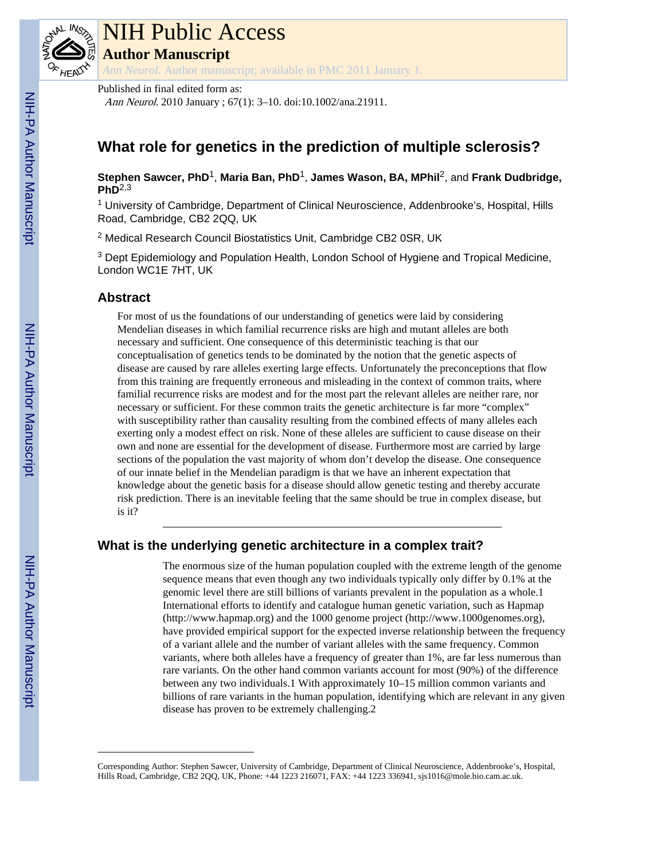

# NIH Public Access

**Author Manuscript**

*Ann Neurol*. Author manuscript; available in PMC 2011 January 1.

#### Published in final edited form as:

Ann Neurol. 2010 January ; 67(1): 3–10. doi:10.1002/ana.21911.

## **What role for genetics in the prediction of multiple sclerosis?**

**Stephen Sawcer, PhD**1, **Maria Ban, PhD**1, **James Wason, BA, MPhil**2, and **Frank Dudbridge, PhD**2,3

<sup>1</sup> University of Cambridge, Department of Clinical Neuroscience, Addenbrooke's, Hospital, Hills Road, Cambridge, CB2 2QQ, UK

<sup>2</sup> Medical Research Council Biostatistics Unit, Cambridge CB2 0SR, UK

<sup>3</sup> Dept Epidemiology and Population Health, London School of Hygiene and Tropical Medicine, London WC1E 7HT, UK

## **Abstract**

For most of us the foundations of our understanding of genetics were laid by considering Mendelian diseases in which familial recurrence risks are high and mutant alleles are both necessary and sufficient. One consequence of this deterministic teaching is that our conceptualisation of genetics tends to be dominated by the notion that the genetic aspects of disease are caused by rare alleles exerting large effects. Unfortunately the preconceptions that flow from this training are frequently erroneous and misleading in the context of common traits, where familial recurrence risks are modest and for the most part the relevant alleles are neither rare, nor necessary or sufficient. For these common traits the genetic architecture is far more "complex" with susceptibility rather than causality resulting from the combined effects of many alleles each exerting only a modest effect on risk. None of these alleles are sufficient to cause disease on their own and none are essential for the development of disease. Furthermore most are carried by large sections of the population the vast majority of whom don't develop the disease. One consequence of our innate belief in the Mendelian paradigm is that we have an inherent expectation that knowledge about the genetic basis for a disease should allow genetic testing and thereby accurate risk prediction. There is an inevitable feeling that the same should be true in complex disease, but is it?

## **What is the underlying genetic architecture in a complex trait?**

The enormous size of the human population coupled with the extreme length of the genome sequence means that even though any two individuals typically only differ by 0.1% at the genomic level there are still billions of variants prevalent in the population as a whole.1 International efforts to identify and catalogue human genetic variation, such as Hapmap [\(http://www.hapmap.org\)](http://www.hapmap.org) and the 1000 genome project (<http://www.1000genomes.org>), have provided empirical support for the expected inverse relationship between the frequency of a variant allele and the number of variant alleles with the same frequency. Common variants, where both alleles have a frequency of greater than 1%, are far less numerous than rare variants. On the other hand common variants account for most (90%) of the difference between any two individuals.1 With approximately 10–15 million common variants and billions of rare variants in the human population, identifying which are relevant in any given disease has proven to be extremely challenging.2

Corresponding Author: Stephen Sawcer, University of Cambridge, Department of Clinical Neuroscience, Addenbrooke's, Hospital, Hills Road, Cambridge, CB2 2QQ, UK, Phone: +44 1223 216071, FAX: +44 1223 336941, sjs1016@mole.bio.cam.ac.uk.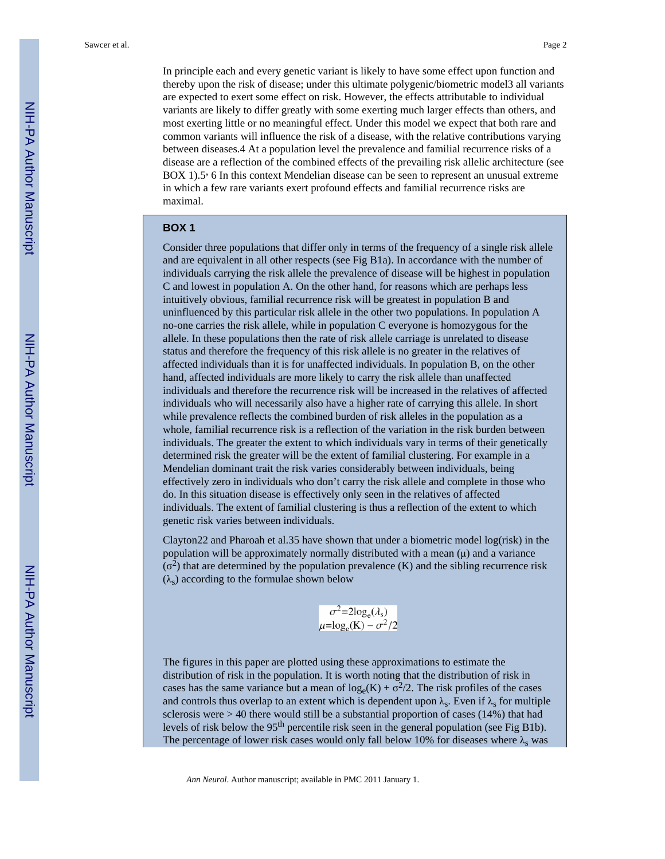In principle each and every genetic variant is likely to have some effect upon function and thereby upon the risk of disease; under this ultimate polygenic/biometric model3 all variants are expected to exert some effect on risk. However, the effects attributable to individual variants are likely to differ greatly with some exerting much larger effects than others, and most exerting little or no meaningful effect. Under this model we expect that both rare and common variants will influence the risk of a disease, with the relative contributions varying between diseases.4 At a population level the prevalence and familial recurrence risks of a disease are a reflection of the combined effects of the prevailing risk allelic architecture (see BOX 1).5, 6 In this context Mendelian disease can be seen to represent an unusual extreme in which a few rare variants exert profound effects and familial recurrence risks are maximal.

#### **BOX 1**

Consider three populations that differ only in terms of the frequency of a single risk allele and are equivalent in all other respects (see Fig B1a). In accordance with the number of individuals carrying the risk allele the prevalence of disease will be highest in population C and lowest in population A. On the other hand, for reasons which are perhaps less intuitively obvious, familial recurrence risk will be greatest in population B and uninfluenced by this particular risk allele in the other two populations. In population A no-one carries the risk allele, while in population C everyone is homozygous for the allele. In these populations then the rate of risk allele carriage is unrelated to disease status and therefore the frequency of this risk allele is no greater in the relatives of affected individuals than it is for unaffected individuals. In population B, on the other hand, affected individuals are more likely to carry the risk allele than unaffected individuals and therefore the recurrence risk will be increased in the relatives of affected individuals who will necessarily also have a higher rate of carrying this allele. In short while prevalence reflects the combined burden of risk alleles in the population as a whole, familial recurrence risk is a reflection of the variation in the risk burden between individuals. The greater the extent to which individuals vary in terms of their genetically determined risk the greater will be the extent of familial clustering. For example in a Mendelian dominant trait the risk varies considerably between individuals, being effectively zero in individuals who don't carry the risk allele and complete in those who do. In this situation disease is effectively only seen in the relatives of affected individuals. The extent of familial clustering is thus a reflection of the extent to which genetic risk varies between individuals.

Clayton22 and Pharoah et al.35 have shown that under a biometric model log(risk) in the population will be approximately normally distributed with a mean (μ) and a variance  $(\sigma^2)$  that are determined by the population prevalence (K) and the sibling recurrence risk  $(\lambda_s)$  according to the formulae shown below

$$
\sigma^2 = 2\log_e(\lambda_s)
$$
  

$$
\mu = \log_e(K) - \sigma^2/2
$$

The figures in this paper are plotted using these approximations to estimate the distribution of risk in the population. It is worth noting that the distribution of risk in cases has the same variance but a mean of  $log_e(K) + \sigma^2/2$ . The risk profiles of the cases and controls thus overlap to an extent which is dependent upon  $\lambda_{s}$ . Even if  $\lambda_{s}$  for multiple sclerosis were  $> 40$  there would still be a substantial proportion of cases (14%) that had levels of risk below the 95<sup>th</sup> percentile risk seen in the general population (see Fig B1b). The percentage of lower risk cases would only fall below 10% for diseases where  $\lambda$ <sub>s</sub> was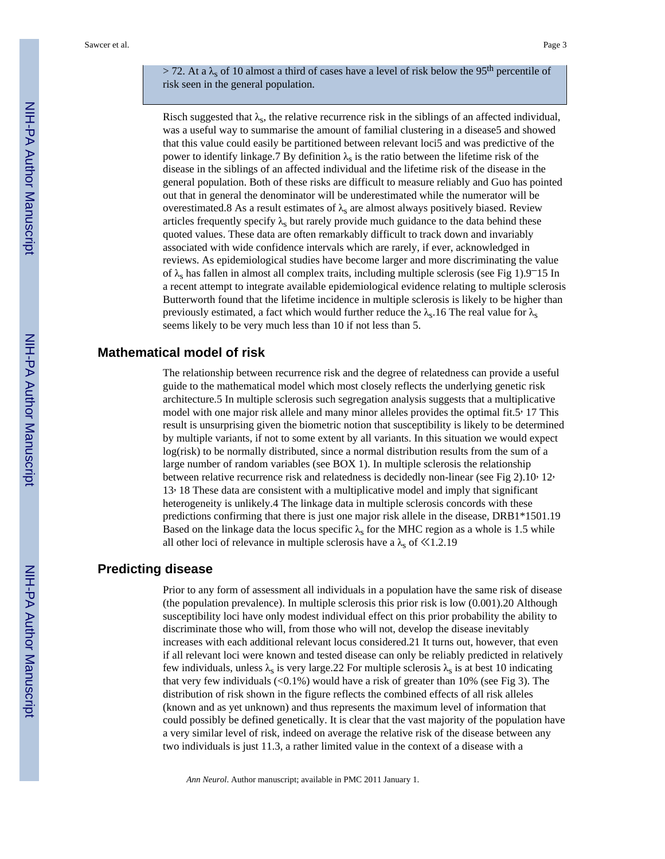> 72. At a  $\lambda_s$  of 10 almost a third of cases have a level of risk below the 95<sup>th</sup> percentile of risk seen in the general population.

Risch suggested that  $\lambda_s$ , the relative recurrence risk in the siblings of an affected individual, was a useful way to summarise the amount of familial clustering in a disease5 and showed that this value could easily be partitioned between relevant loci5 and was predictive of the power to identify linkage.7 By definition  $\lambda_s$  is the ratio between the lifetime risk of the disease in the siblings of an affected individual and the lifetime risk of the disease in the general population. Both of these risks are difficult to measure reliably and Guo has pointed out that in general the denominator will be underestimated while the numerator will be overestimated.8 As a result estimates of  $\lambda_s$  are almost always positively biased. Review articles frequently specify  $\lambda_s$  but rarely provide much guidance to the data behind these quoted values. These data are often remarkably difficult to track down and invariably associated with wide confidence intervals which are rarely, if ever, acknowledged in reviews. As epidemiological studies have become larger and more discriminating the value of  $\lambda_s$  has fallen in almost all complex traits, including multiple sclerosis (see Fig 1).9<sup>-15</sup> In a recent attempt to integrate available epidemiological evidence relating to multiple sclerosis Butterworth found that the lifetime incidence in multiple sclerosis is likely to be higher than previously estimated, a fact which would further reduce the  $\lambda_{s}$ .16 The real value for  $\lambda_{s}$ seems likely to be very much less than 10 if not less than 5.

#### **Mathematical model of risk**

The relationship between recurrence risk and the degree of relatedness can provide a useful guide to the mathematical model which most closely reflects the underlying genetic risk architecture.5 In multiple sclerosis such segregation analysis suggests that a multiplicative model with one major risk allele and many minor alleles provides the optimal fit.5, 17 This result is unsurprising given the biometric notion that susceptibility is likely to be determined by multiple variants, if not to some extent by all variants. In this situation we would expect log(risk) to be normally distributed, since a normal distribution results from the sum of a large number of random variables (see BOX 1). In multiple sclerosis the relationship between relative recurrence risk and relatedness is decidedly non-linear (see Fig 2).10, 12, 13, 18 These data are consistent with a multiplicative model and imply that significant heterogeneity is unlikely.4 The linkage data in multiple sclerosis concords with these predictions confirming that there is just one major risk allele in the disease, DRB1\*1501.19 Based on the linkage data the locus specific  $\lambda_s$  for the MHC region as a whole is 1.5 while all other loci of relevance in multiple sclerosis have a  $\lambda_s$  of  $\ll$ 1.2.19

## **Predicting disease**

Prior to any form of assessment all individuals in a population have the same risk of disease (the population prevalence). In multiple sclerosis this prior risk is low (0.001).20 Although susceptibility loci have only modest individual effect on this prior probability the ability to discriminate those who will, from those who will not, develop the disease inevitably increases with each additional relevant locus considered.21 It turns out, however, that even if all relevant loci were known and tested disease can only be reliably predicted in relatively few individuals, unless  $\lambda_s$  is very large.22 For multiple sclerosis  $\lambda_s$  is at best 10 indicating that very few individuals  $( $0.1\%$ )$  would have a risk of greater than 10% (see Fig 3). The distribution of risk shown in the figure reflects the combined effects of all risk alleles (known and as yet unknown) and thus represents the maximum level of information that could possibly be defined genetically. It is clear that the vast majority of the population have a very similar level of risk, indeed on average the relative risk of the disease between any two individuals is just 11.3, a rather limited value in the context of a disease with a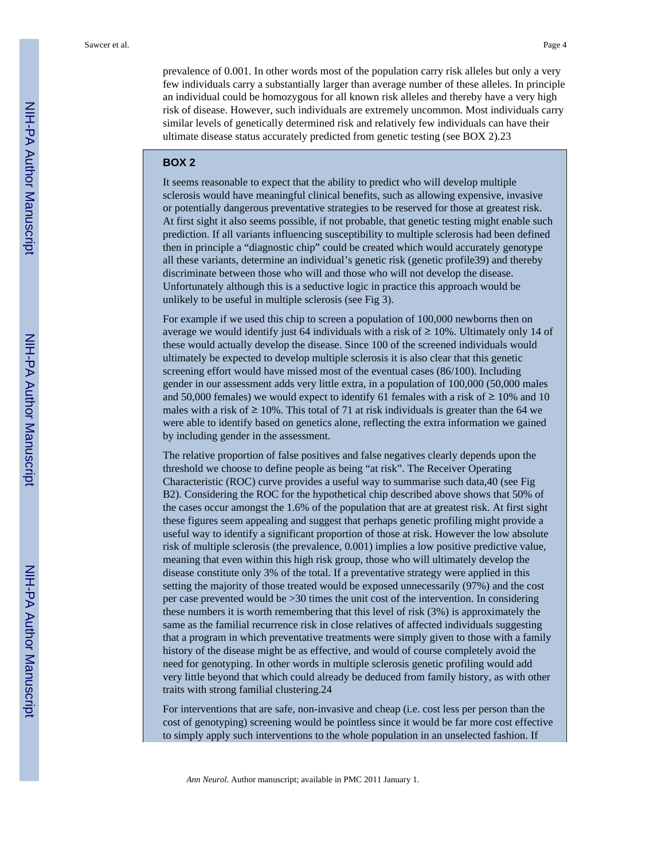prevalence of 0.001. In other words most of the population carry risk alleles but only a very few individuals carry a substantially larger than average number of these alleles. In principle an individual could be homozygous for all known risk alleles and thereby have a very high risk of disease. However, such individuals are extremely uncommon. Most individuals carry similar levels of genetically determined risk and relatively few individuals can have their ultimate disease status accurately predicted from genetic testing (see BOX 2).23

#### **BOX 2**

It seems reasonable to expect that the ability to predict who will develop multiple sclerosis would have meaningful clinical benefits, such as allowing expensive, invasive or potentially dangerous preventative strategies to be reserved for those at greatest risk. At first sight it also seems possible, if not probable, that genetic testing might enable such prediction. If all variants influencing susceptibility to multiple sclerosis had been defined then in principle a "diagnostic chip" could be created which would accurately genotype all these variants, determine an individual's genetic risk (genetic profile39) and thereby discriminate between those who will and those who will not develop the disease. Unfortunately although this is a seductive logic in practice this approach would be unlikely to be useful in multiple sclerosis (see Fig 3).

For example if we used this chip to screen a population of 100,000 newborns then on average we would identify just 64 individuals with a risk of  $\geq 10\%$ . Ultimately only 14 of these would actually develop the disease. Since 100 of the screened individuals would ultimately be expected to develop multiple sclerosis it is also clear that this genetic screening effort would have missed most of the eventual cases (86/100). Including gender in our assessment adds very little extra, in a population of 100,000 (50,000 males and 50,000 females) we would expect to identify 61 females with a risk of  $\geq 10\%$  and 10 males with a risk of  $\geq 10\%$ . This total of 71 at risk individuals is greater than the 64 we were able to identify based on genetics alone, reflecting the extra information we gained by including gender in the assessment.

The relative proportion of false positives and false negatives clearly depends upon the threshold we choose to define people as being "at risk". The Receiver Operating Characteristic (ROC) curve provides a useful way to summarise such data,40 (see Fig B2). Considering the ROC for the hypothetical chip described above shows that 50% of the cases occur amongst the 1.6% of the population that are at greatest risk. At first sight these figures seem appealing and suggest that perhaps genetic profiling might provide a useful way to identify a significant proportion of those at risk. However the low absolute risk of multiple sclerosis (the prevalence, 0.001) implies a low positive predictive value, meaning that even within this high risk group, those who will ultimately develop the disease constitute only 3% of the total. If a preventative strategy were applied in this setting the majority of those treated would be exposed unnecessarily (97%) and the cost per case prevented would be >30 times the unit cost of the intervention. In considering these numbers it is worth remembering that this level of risk (3%) is approximately the same as the familial recurrence risk in close relatives of affected individuals suggesting that a program in which preventative treatments were simply given to those with a family history of the disease might be as effective, and would of course completely avoid the need for genotyping. In other words in multiple sclerosis genetic profiling would add very little beyond that which could already be deduced from family history, as with other traits with strong familial clustering.24

For interventions that are safe, non-invasive and cheap (i.e. cost less per person than the cost of genotyping) screening would be pointless since it would be far more cost effective to simply apply such interventions to the whole population in an unselected fashion. If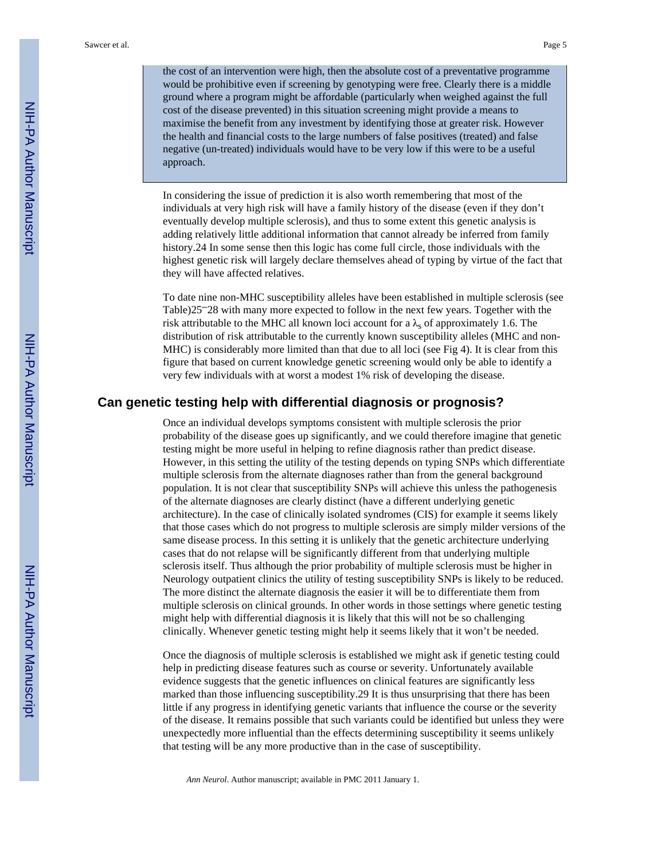the cost of an intervention were high, then the absolute cost of a preventative programme would be prohibitive even if screening by genotyping were free. Clearly there is a middle ground where a program might be affordable (particularly when weighed against the full cost of the disease prevented) in this situation screening might provide a means to maximise the benefit from any investment by identifying those at greater risk. However the health and financial costs to the large numbers of false positives (treated) and false negative (un-treated) individuals would have to be very low if this were to be a useful approach.

In considering the issue of prediction it is also worth remembering that most of the individuals at very high risk will have a family history of the disease (even if they don't eventually develop multiple sclerosis), and thus to some extent this genetic analysis is adding relatively little additional information that cannot already be inferred from family history.24 In some sense then this logic has come full circle, those individuals with the highest genetic risk will largely declare themselves ahead of typing by virtue of the fact that they will have affected relatives.

To date nine non-MHC susceptibility alleles have been established in multiple sclerosis (see Table)25–28 with many more expected to follow in the next few years. Together with the risk attributable to the MHC all known loci account for a  $\lambda_s$  of approximately 1.6. The distribution of risk attributable to the currently known susceptibility alleles (MHC and non-MHC) is considerably more limited than that due to all loci (see Fig 4). It is clear from this figure that based on current knowledge genetic screening would only be able to identify a very few individuals with at worst a modest 1% risk of developing the disease.

#### **Can genetic testing help with differential diagnosis or prognosis?**

Once an individual develops symptoms consistent with multiple sclerosis the prior probability of the disease goes up significantly, and we could therefore imagine that genetic testing might be more useful in helping to refine diagnosis rather than predict disease. However, in this setting the utility of the testing depends on typing SNPs which differentiate multiple sclerosis from the alternate diagnoses rather than from the general background population. It is not clear that susceptibility SNPs will achieve this unless the pathogenesis of the alternate diagnoses are clearly distinct (have a different underlying genetic architecture). In the case of clinically isolated syndromes (CIS) for example it seems likely that those cases which do not progress to multiple sclerosis are simply milder versions of the same disease process. In this setting it is unlikely that the genetic architecture underlying cases that do not relapse will be significantly different from that underlying multiple sclerosis itself. Thus although the prior probability of multiple sclerosis must be higher in Neurology outpatient clinics the utility of testing susceptibility SNPs is likely to be reduced. The more distinct the alternate diagnosis the easier it will be to differentiate them from multiple sclerosis on clinical grounds. In other words in those settings where genetic testing might help with differential diagnosis it is likely that this will not be so challenging clinically. Whenever genetic testing might help it seems likely that it won't be needed.

Once the diagnosis of multiple sclerosis is established we might ask if genetic testing could help in predicting disease features such as course or severity. Unfortunately available evidence suggests that the genetic influences on clinical features are significantly less marked than those influencing susceptibility.29 It is thus unsurprising that there has been little if any progress in identifying genetic variants that influence the course or the severity of the disease. It remains possible that such variants could be identified but unless they were unexpectedly more influential than the effects determining susceptibility it seems unlikely that testing will be any more productive than in the case of susceptibility.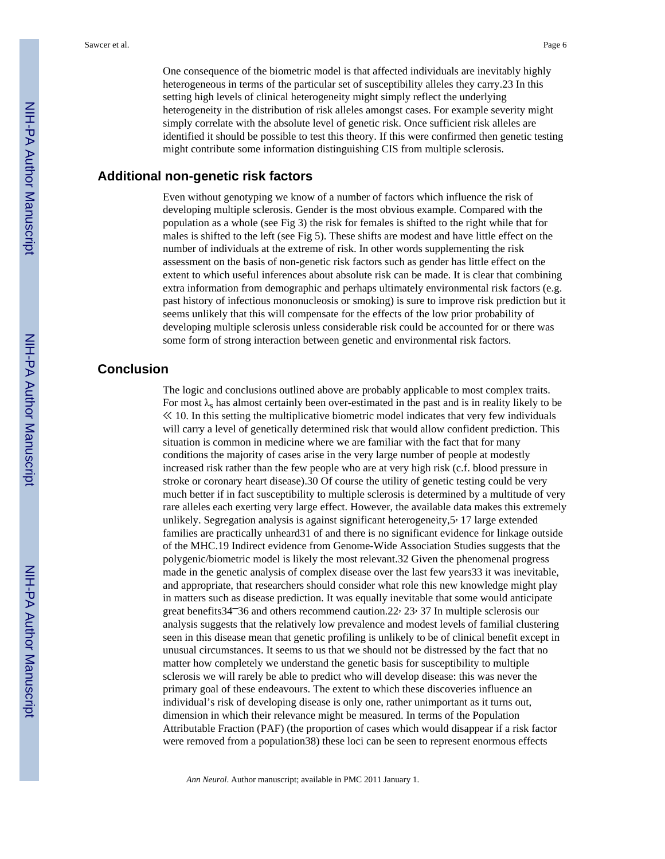One consequence of the biometric model is that affected individuals are inevitably highly heterogeneous in terms of the particular set of susceptibility alleles they carry.23 In this setting high levels of clinical heterogeneity might simply reflect the underlying heterogeneity in the distribution of risk alleles amongst cases. For example severity might simply correlate with the absolute level of genetic risk. Once sufficient risk alleles are identified it should be possible to test this theory. If this were confirmed then genetic testing might contribute some information distinguishing CIS from multiple sclerosis.

## **Additional non-genetic risk factors**

Even without genotyping we know of a number of factors which influence the risk of developing multiple sclerosis. Gender is the most obvious example. Compared with the population as a whole (see Fig 3) the risk for females is shifted to the right while that for males is shifted to the left (see Fig 5). These shifts are modest and have little effect on the number of individuals at the extreme of risk. In other words supplementing the risk assessment on the basis of non-genetic risk factors such as gender has little effect on the extent to which useful inferences about absolute risk can be made. It is clear that combining extra information from demographic and perhaps ultimately environmental risk factors (e.g. past history of infectious mononucleosis or smoking) is sure to improve risk prediction but it seems unlikely that this will compensate for the effects of the low prior probability of developing multiple sclerosis unless considerable risk could be accounted for or there was some form of strong interaction between genetic and environmental risk factors.

## **Conclusion**

The logic and conclusions outlined above are probably applicable to most complex traits. For most  $\lambda_s$  has almost certainly been over-estimated in the past and is in reality likely to be ≪ 10. In this setting the multiplicative biometric model indicates that very few individuals will carry a level of genetically determined risk that would allow confident prediction. This situation is common in medicine where we are familiar with the fact that for many conditions the majority of cases arise in the very large number of people at modestly increased risk rather than the few people who are at very high risk (c.f. blood pressure in stroke or coronary heart disease).30 Of course the utility of genetic testing could be very much better if in fact susceptibility to multiple sclerosis is determined by a multitude of very rare alleles each exerting very large effect. However, the available data makes this extremely unlikely. Segregation analysis is against significant heterogeneity,5, 17 large extended families are practically unheard31 of and there is no significant evidence for linkage outside of the MHC.19 Indirect evidence from Genome-Wide Association Studies suggests that the polygenic/biometric model is likely the most relevant.32 Given the phenomenal progress made in the genetic analysis of complex disease over the last few years33 it was inevitable, and appropriate, that researchers should consider what role this new knowledge might play in matters such as disease prediction. It was equally inevitable that some would anticipate great benefits34–36 and others recommend caution.22, 23, 37 In multiple sclerosis our analysis suggests that the relatively low prevalence and modest levels of familial clustering seen in this disease mean that genetic profiling is unlikely to be of clinical benefit except in unusual circumstances. It seems to us that we should not be distressed by the fact that no matter how completely we understand the genetic basis for susceptibility to multiple sclerosis we will rarely be able to predict who will develop disease: this was never the primary goal of these endeavours. The extent to which these discoveries influence an individual's risk of developing disease is only one, rather unimportant as it turns out, dimension in which their relevance might be measured. In terms of the Population Attributable Fraction (PAF) (the proportion of cases which would disappear if a risk factor were removed from a population38) these loci can be seen to represent enormous effects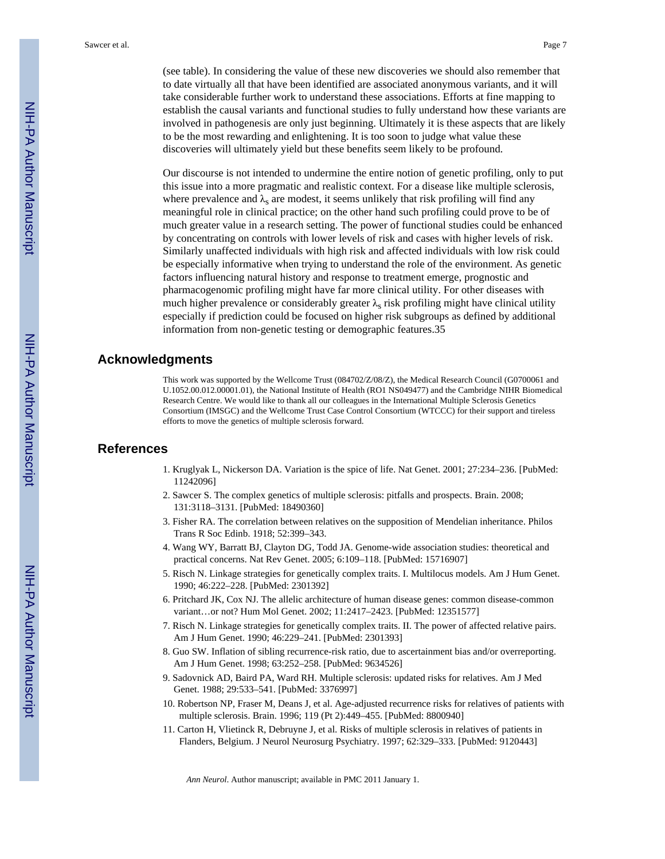(see table). In considering the value of these new discoveries we should also remember that to date virtually all that have been identified are associated anonymous variants, and it will take considerable further work to understand these associations. Efforts at fine mapping to establish the causal variants and functional studies to fully understand how these variants are involved in pathogenesis are only just beginning. Ultimately it is these aspects that are likely to be the most rewarding and enlightening. It is too soon to judge what value these discoveries will ultimately yield but these benefits seem likely to be profound.

Our discourse is not intended to undermine the entire notion of genetic profiling, only to put this issue into a more pragmatic and realistic context. For a disease like multiple sclerosis, where prevalence and  $\lambda_s$  are modest, it seems unlikely that risk profiling will find any meaningful role in clinical practice; on the other hand such profiling could prove to be of much greater value in a research setting. The power of functional studies could be enhanced by concentrating on controls with lower levels of risk and cases with higher levels of risk. Similarly unaffected individuals with high risk and affected individuals with low risk could be especially informative when trying to understand the role of the environment. As genetic factors influencing natural history and response to treatment emerge, prognostic and pharmacogenomic profiling might have far more clinical utility. For other diseases with much higher prevalence or considerably greater  $\lambda_s$  risk profiling might have clinical utility especially if prediction could be focused on higher risk subgroups as defined by additional information from non-genetic testing or demographic features.35

#### **Acknowledgments**

This work was supported by the Wellcome Trust (084702/Z/08/Z), the Medical Research Council (G0700061 and U.1052.00.012.00001.01), the National Institute of Health (RO1 NS049477) and the Cambridge NIHR Biomedical Research Centre. We would like to thank all our colleagues in the International Multiple Sclerosis Genetics Consortium (IMSGC) and the Wellcome Trust Case Control Consortium (WTCCC) for their support and tireless efforts to move the genetics of multiple sclerosis forward.

#### **References**

- 1. Kruglyak L, Nickerson DA. Variation is the spice of life. Nat Genet. 2001; 27:234–236. [PubMed: 11242096]
- 2. Sawcer S. The complex genetics of multiple sclerosis: pitfalls and prospects. Brain. 2008; 131:3118–3131. [PubMed: 18490360]
- 3. Fisher RA. The correlation between relatives on the supposition of Mendelian inheritance. Philos Trans R Soc Edinb. 1918; 52:399–343.
- 4. Wang WY, Barratt BJ, Clayton DG, Todd JA. Genome-wide association studies: theoretical and practical concerns. Nat Rev Genet. 2005; 6:109–118. [PubMed: 15716907]
- 5. Risch N. Linkage strategies for genetically complex traits. I. Multilocus models. Am J Hum Genet. 1990; 46:222–228. [PubMed: 2301392]
- 6. Pritchard JK, Cox NJ. The allelic architecture of human disease genes: common disease-common variant…or not? Hum Mol Genet. 2002; 11:2417–2423. [PubMed: 12351577]
- 7. Risch N. Linkage strategies for genetically complex traits. II. The power of affected relative pairs. Am J Hum Genet. 1990; 46:229–241. [PubMed: 2301393]
- 8. Guo SW. Inflation of sibling recurrence-risk ratio, due to ascertainment bias and/or overreporting. Am J Hum Genet. 1998; 63:252–258. [PubMed: 9634526]
- 9. Sadovnick AD, Baird PA, Ward RH. Multiple sclerosis: updated risks for relatives. Am J Med Genet. 1988; 29:533–541. [PubMed: 3376997]
- 10. Robertson NP, Fraser M, Deans J, et al. Age-adjusted recurrence risks for relatives of patients with multiple sclerosis. Brain. 1996; 119 (Pt 2):449–455. [PubMed: 8800940]
- 11. Carton H, Vlietinck R, Debruyne J, et al. Risks of multiple sclerosis in relatives of patients in Flanders, Belgium. J Neurol Neurosurg Psychiatry. 1997; 62:329–333. [PubMed: 9120443]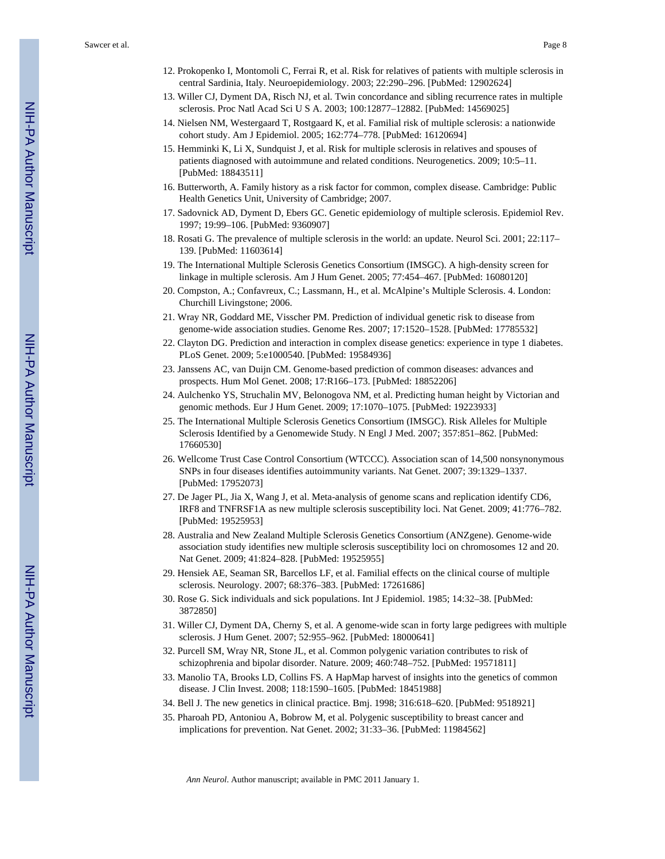- 12. Prokopenko I, Montomoli C, Ferrai R, et al. Risk for relatives of patients with multiple sclerosis in central Sardinia, Italy. Neuroepidemiology. 2003; 22:290–296. [PubMed: 12902624]
- 13. Willer CJ, Dyment DA, Risch NJ, et al. Twin concordance and sibling recurrence rates in multiple sclerosis. Proc Natl Acad Sci U S A. 2003; 100:12877–12882. [PubMed: 14569025]
- 14. Nielsen NM, Westergaard T, Rostgaard K, et al. Familial risk of multiple sclerosis: a nationwide cohort study. Am J Epidemiol. 2005; 162:774–778. [PubMed: 16120694]
- 15. Hemminki K, Li X, Sundquist J, et al. Risk for multiple sclerosis in relatives and spouses of patients diagnosed with autoimmune and related conditions. Neurogenetics. 2009; 10:5–11. [PubMed: 18843511]
- 16. Butterworth, A. Family history as a risk factor for common, complex disease. Cambridge: Public Health Genetics Unit, University of Cambridge; 2007.
- 17. Sadovnick AD, Dyment D, Ebers GC. Genetic epidemiology of multiple sclerosis. Epidemiol Rev. 1997; 19:99–106. [PubMed: 9360907]
- 18. Rosati G. The prevalence of multiple sclerosis in the world: an update. Neurol Sci. 2001; 22:117– 139. [PubMed: 11603614]
- 19. The International Multiple Sclerosis Genetics Consortium (IMSGC). A high-density screen for linkage in multiple sclerosis. Am J Hum Genet. 2005; 77:454–467. [PubMed: 16080120]
- 20. Compston, A.; Confavreux, C.; Lassmann, H., et al. McAlpine's Multiple Sclerosis. 4. London: Churchill Livingstone; 2006.
- 21. Wray NR, Goddard ME, Visscher PM. Prediction of individual genetic risk to disease from genome-wide association studies. Genome Res. 2007; 17:1520–1528. [PubMed: 17785532]
- 22. Clayton DG. Prediction and interaction in complex disease genetics: experience in type 1 diabetes. PLoS Genet. 2009; 5:e1000540. [PubMed: 19584936]
- 23. Janssens AC, van Duijn CM. Genome-based prediction of common diseases: advances and prospects. Hum Mol Genet. 2008; 17:R166–173. [PubMed: 18852206]
- 24. Aulchenko YS, Struchalin MV, Belonogova NM, et al. Predicting human height by Victorian and genomic methods. Eur J Hum Genet. 2009; 17:1070–1075. [PubMed: 19223933]
- 25. The International Multiple Sclerosis Genetics Consortium (IMSGC). Risk Alleles for Multiple Sclerosis Identified by a Genomewide Study. N Engl J Med. 2007; 357:851–862. [PubMed: 17660530]
- 26. Wellcome Trust Case Control Consortium (WTCCC). Association scan of 14,500 nonsynonymous SNPs in four diseases identifies autoimmunity variants. Nat Genet. 2007; 39:1329–1337. [PubMed: 17952073]
- 27. De Jager PL, Jia X, Wang J, et al. Meta-analysis of genome scans and replication identify CD6, IRF8 and TNFRSF1A as new multiple sclerosis susceptibility loci. Nat Genet. 2009; 41:776–782. [PubMed: 19525953]
- 28. Australia and New Zealand Multiple Sclerosis Genetics Consortium (ANZgene). Genome-wide association study identifies new multiple sclerosis susceptibility loci on chromosomes 12 and 20. Nat Genet. 2009; 41:824–828. [PubMed: 19525955]
- 29. Hensiek AE, Seaman SR, Barcellos LF, et al. Familial effects on the clinical course of multiple sclerosis. Neurology. 2007; 68:376–383. [PubMed: 17261686]
- 30. Rose G. Sick individuals and sick populations. Int J Epidemiol. 1985; 14:32–38. [PubMed: 3872850]
- 31. Willer CJ, Dyment DA, Cherny S, et al. A genome-wide scan in forty large pedigrees with multiple sclerosis. J Hum Genet. 2007; 52:955–962. [PubMed: 18000641]
- 32. Purcell SM, Wray NR, Stone JL, et al. Common polygenic variation contributes to risk of schizophrenia and bipolar disorder. Nature. 2009; 460:748–752. [PubMed: 19571811]
- 33. Manolio TA, Brooks LD, Collins FS. A HapMap harvest of insights into the genetics of common disease. J Clin Invest. 2008; 118:1590–1605. [PubMed: 18451988]
- 34. Bell J. The new genetics in clinical practice. Bmj. 1998; 316:618–620. [PubMed: 9518921]
- 35. Pharoah PD, Antoniou A, Bobrow M, et al. Polygenic susceptibility to breast cancer and implications for prevention. Nat Genet. 2002; 31:33–36. [PubMed: 11984562]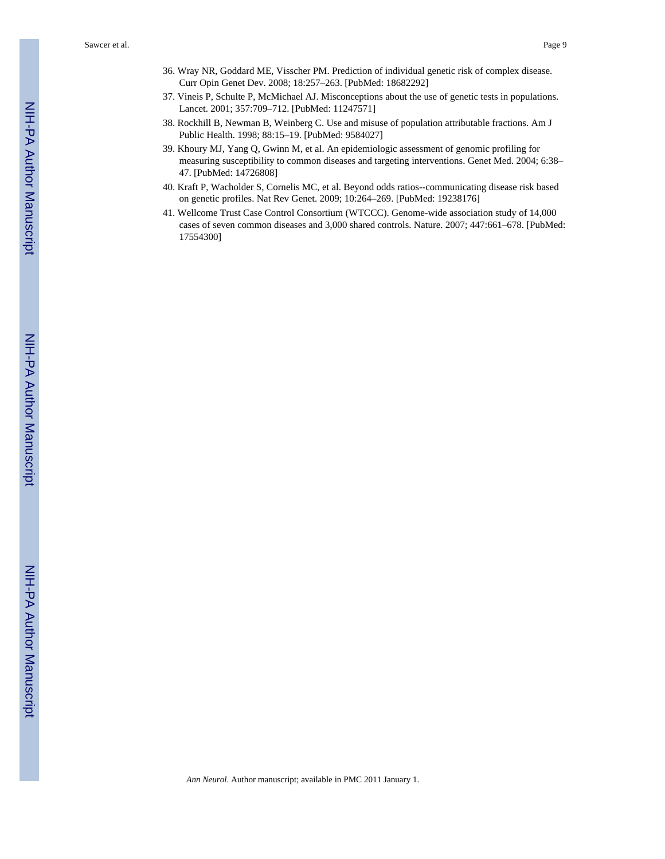- 36. Wray NR, Goddard ME, Visscher PM. Prediction of individual genetic risk of complex disease. Curr Opin Genet Dev. 2008; 18:257–263. [PubMed: 18682292]
- 37. Vineis P, Schulte P, McMichael AJ. Misconceptions about the use of genetic tests in populations. Lancet. 2001; 357:709–712. [PubMed: 11247571]
- 38. Rockhill B, Newman B, Weinberg C. Use and misuse of population attributable fractions. Am J Public Health. 1998; 88:15–19. [PubMed: 9584027]
- 39. Khoury MJ, Yang Q, Gwinn M, et al. An epidemiologic assessment of genomic profiling for measuring susceptibility to common diseases and targeting interventions. Genet Med. 2004; 6:38– 47. [PubMed: 14726808]
- 40. Kraft P, Wacholder S, Cornelis MC, et al. Beyond odds ratios--communicating disease risk based on genetic profiles. Nat Rev Genet. 2009; 10:264–269. [PubMed: 19238176]
- 41. Wellcome Trust Case Control Consortium (WTCCC). Genome-wide association study of 14,000 cases of seven common diseases and 3,000 shared controls. Nature. 2007; 447:661–678. [PubMed: 17554300]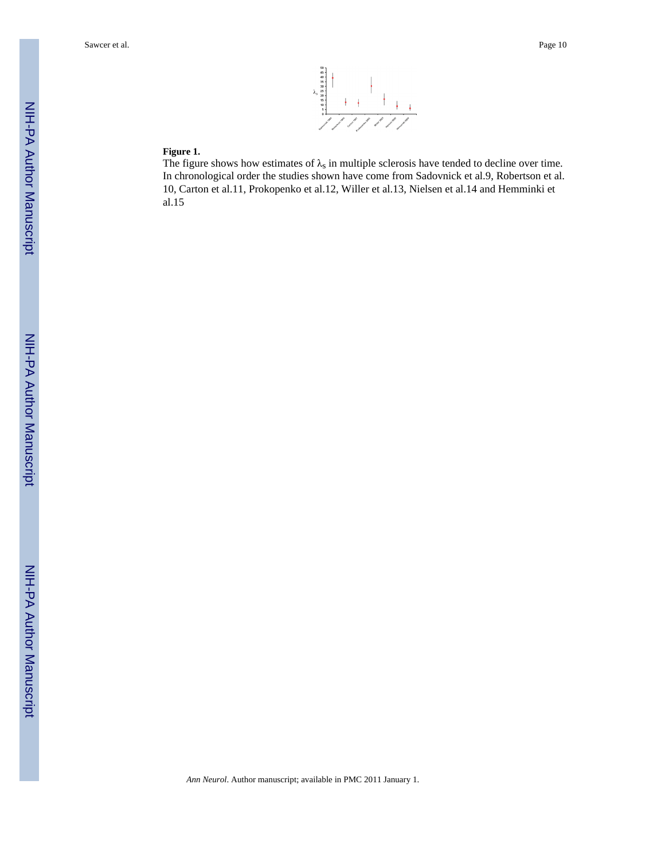

#### **Figure 1.**

The figure shows how estimates of  $\lambda_s$  in multiple sclerosis have tended to decline over time. In chronological order the studies shown have come from Sadovnick et al.9, Robertson et al. 10, Carton et al.11, Prokopenko et al.12, Willer et al.13, Nielsen et al.14 and Hemminki et al.15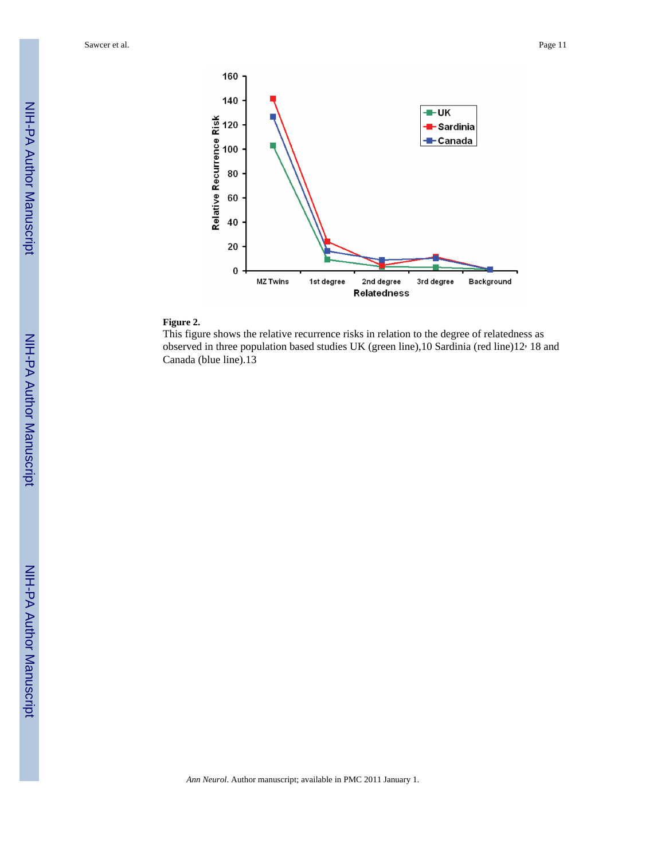Sawcer et al. **Page 11** 



#### **Figure 2.**

This figure shows the relative recurrence risks in relation to the degree of relatedness as observed in three population based studies UK (green line),10 Sardinia (red line)12, 18 and Canada (blue line).13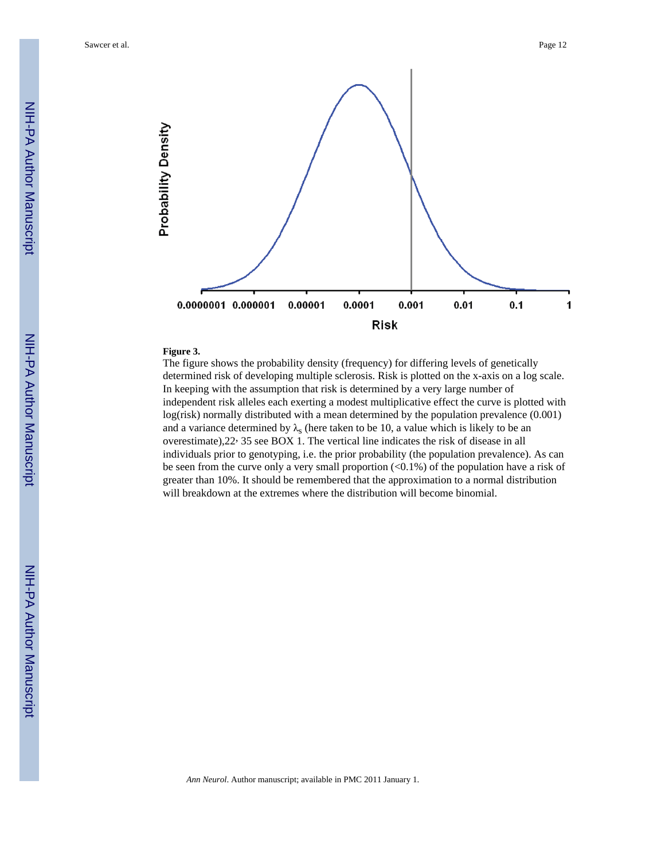

#### **Figure 3.**

The figure shows the probability density (frequency) for differing levels of genetically determined risk of developing multiple sclerosis. Risk is plotted on the x-axis on a log scale. In keeping with the assumption that risk is determined by a very large number of independent risk alleles each exerting a modest multiplicative effect the curve is plotted with log(risk) normally distributed with a mean determined by the population prevalence (0.001) and a variance determined by  $\lambda_s$  (here taken to be 10, a value which is likely to be an overestimate),22, 35 see BOX 1. The vertical line indicates the risk of disease in all individuals prior to genotyping, i.e. the prior probability (the population prevalence). As can be seen from the curve only a very small proportion (<0.1%) of the population have a risk of greater than 10%. It should be remembered that the approximation to a normal distribution will breakdown at the extremes where the distribution will become binomial.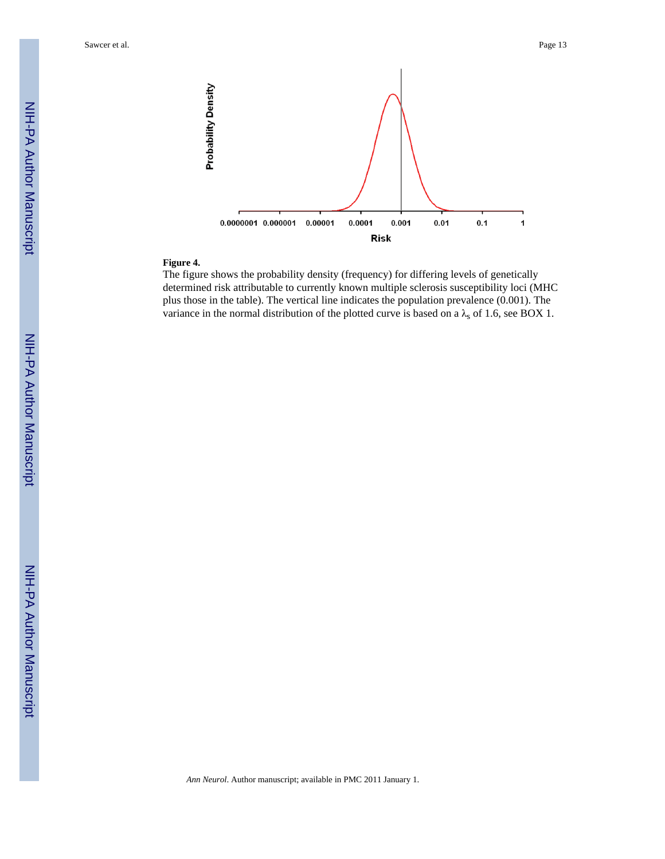Sawcer et al. **Page 13** 



## **Figure 4.**

The figure shows the probability density (frequency) for differing levels of genetically determined risk attributable to currently known multiple sclerosis susceptibility loci (MHC plus those in the table). The vertical line indicates the population prevalence (0.001). The variance in the normal distribution of the plotted curve is based on a  $\lambda_s$  of 1.6, see BOX 1.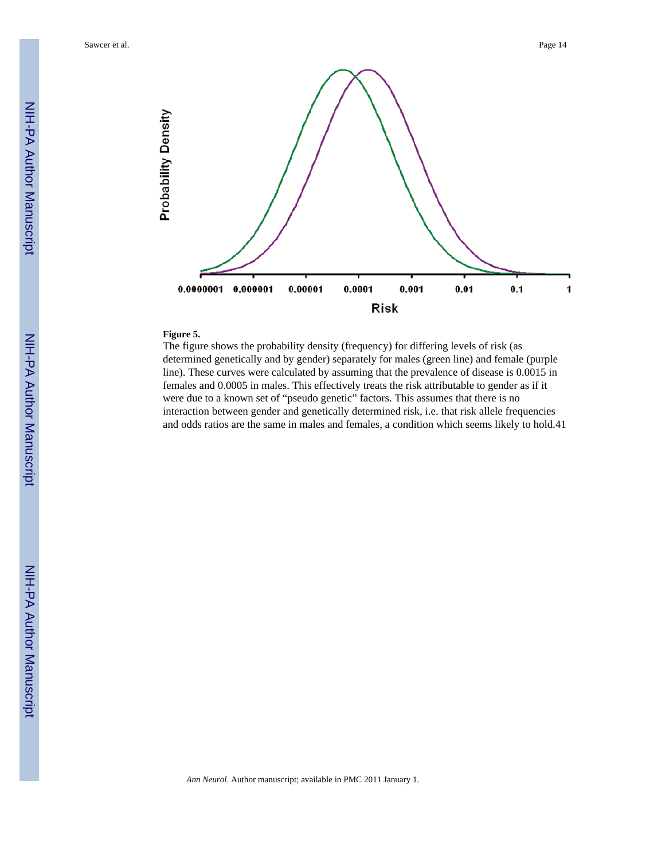

#### **Figure 5.**

The figure shows the probability density (frequency) for differing levels of risk (as determined genetically and by gender) separately for males (green line) and female (purple line). These curves were calculated by assuming that the prevalence of disease is 0.0015 in females and 0.0005 in males. This effectively treats the risk attributable to gender as if it were due to a known set of "pseudo genetic" factors. This assumes that there is no interaction between gender and genetically determined risk, i.e. that risk allele frequencies and odds ratios are the same in males and females, a condition which seems likely to hold.41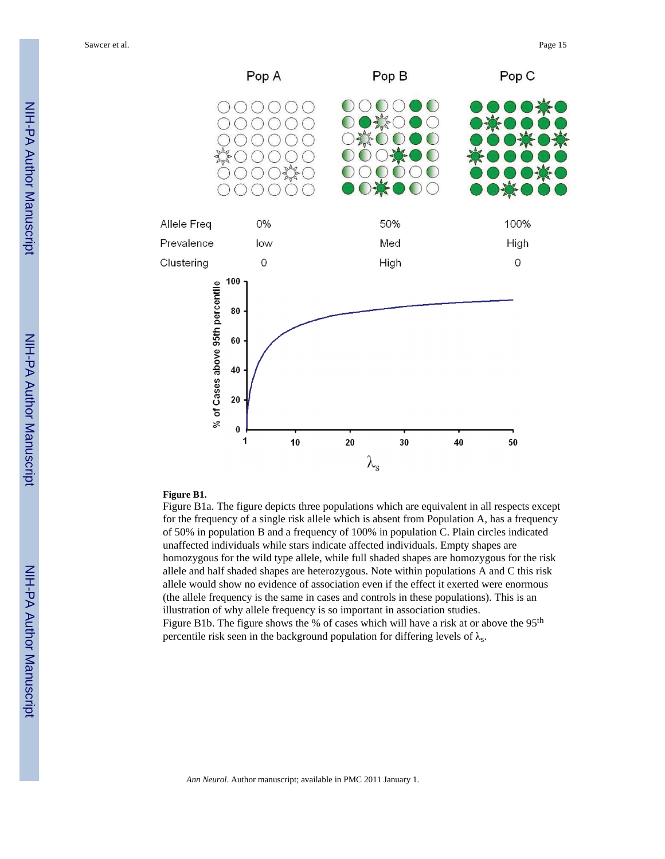

#### **Figure B1.**

Figure B1a. The figure depicts three populations which are equivalent in all respects except for the frequency of a single risk allele which is absent from Population A, has a frequency of 50% in population B and a frequency of 100% in population C. Plain circles indicated unaffected individuals while stars indicate affected individuals. Empty shapes are homozygous for the wild type allele, while full shaded shapes are homozygous for the risk allele and half shaded shapes are heterozygous. Note within populations A and C this risk allele would show no evidence of association even if the effect it exerted were enormous (the allele frequency is the same in cases and controls in these populations). This is an illustration of why allele frequency is so important in association studies. Figure B1b. The figure shows the % of cases which will have a risk at or above the  $95<sup>th</sup>$ percentile risk seen in the background population for differing levels of  $\lambda_s$ .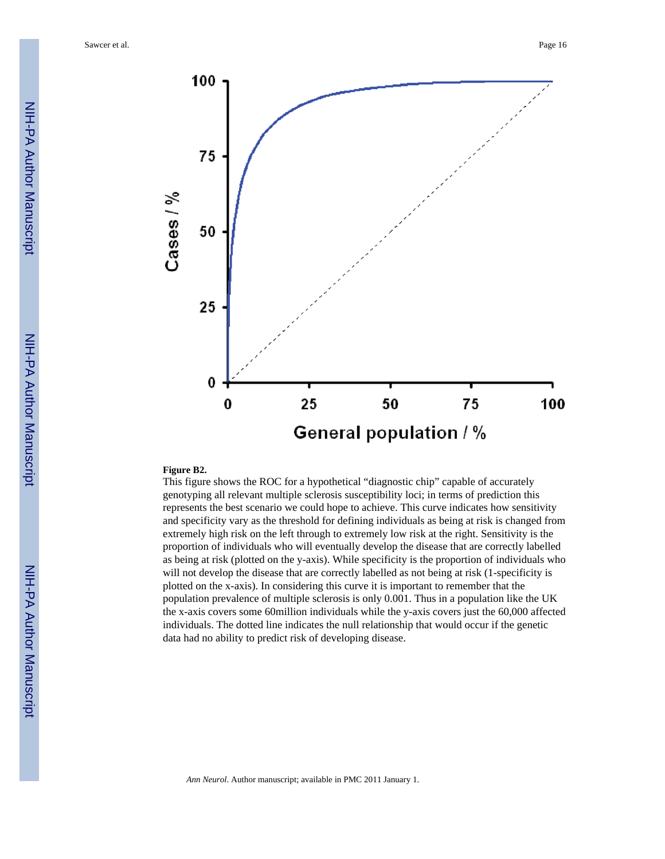Sawcer et al. Page 16



#### **Figure B2.**

This figure shows the ROC for a hypothetical "diagnostic chip" capable of accurately genotyping all relevant multiple sclerosis susceptibility loci; in terms of prediction this represents the best scenario we could hope to achieve. This curve indicates how sensitivity and specificity vary as the threshold for defining individuals as being at risk is changed from extremely high risk on the left through to extremely low risk at the right. Sensitivity is the proportion of individuals who will eventually develop the disease that are correctly labelled as being at risk (plotted on the y-axis). While specificity is the proportion of individuals who will not develop the disease that are correctly labelled as not being at risk (1-specificity is plotted on the x-axis). In considering this curve it is important to remember that the population prevalence of multiple sclerosis is only 0.001. Thus in a population like the UK the x-axis covers some 60million individuals while the y-axis covers just the 60,000 affected individuals. The dotted line indicates the null relationship that would occur if the genetic data had no ability to predict risk of developing disease.